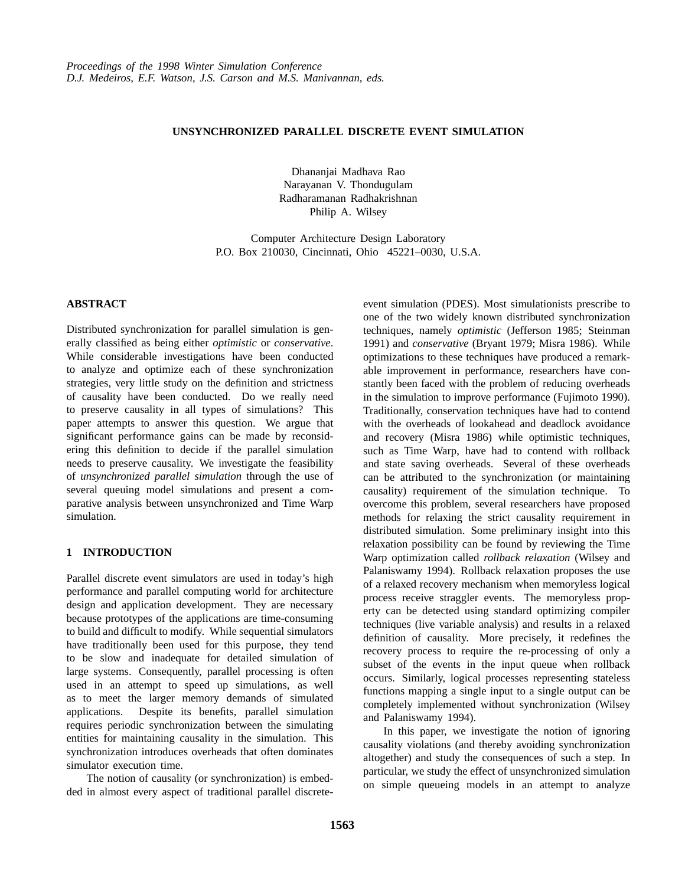# **UNSYNCHRONIZED PARALLEL DISCRETE EVENT SIMULATION**

Dhananjai Madhava Rao Narayanan V. Thondugulam Radharamanan Radhakrishnan Philip A. Wilsey

Computer Architecture Design Laboratory P.O. Box 210030, Cincinnati, Ohio 45221–0030, U.S.A.

### **ABSTRACT**

Distributed synchronization for parallel simulation is generally classified as being either *optimistic* or *conservative*. While considerable investigations have been conducted to analyze and optimize each of these synchronization strategies, very little study on the definition and strictness of causality have been conducted. Do we really need to preserve causality in all types of simulations? This paper attempts to answer this question. We argue that significant performance gains can be made by reconsidering this definition to decide if the parallel simulation needs to preserve causality. We investigate the feasibility of *unsynchronized parallel simulation* through the use of several queuing model simulations and present a comparative analysis between unsynchronized and Time Warp simulation.

# **1 INTRODUCTION**

Parallel discrete event simulators are used in today's high performance and parallel computing world for architecture design and application development. They are necessary because prototypes of the applications are time-consuming to build and difficult to modify. While sequential simulators have traditionally been used for this purpose, they tend to be slow and inadequate for detailed simulation of large systems. Consequently, parallel processing is often used in an attempt to speed up simulations, as well as to meet the larger memory demands of simulated applications. Despite its benefits, parallel simulation requires periodic synchronization between the simulating entities for maintaining causality in the simulation. This synchronization introduces overheads that often dominates simulator execution time.

The notion of causality (or synchronization) is embedded in almost every aspect of traditional parallel discreteevent simulation (PDES). Most simulationists prescribe to one of the two widely known distributed synchronization techniques, namely *optimistic* (Jefferson 1985; Steinman 1991) and *conservative* (Bryant 1979; Misra 1986). While optimizations to these techniques have produced a remarkable improvement in performance, researchers have constantly been faced with the problem of reducing overheads in the simulation to improve performance (Fujimoto 1990). Traditionally, conservation techniques have had to contend with the overheads of lookahead and deadlock avoidance and recovery (Misra 1986) while optimistic techniques, such as Time Warp, have had to contend with rollback and state saving overheads. Several of these overheads can be attributed to the synchronization (or maintaining causality) requirement of the simulation technique. To overcome this problem, several researchers have proposed methods for relaxing the strict causality requirement in distributed simulation. Some preliminary insight into this relaxation possibility can be found by reviewing the Time Warp optimization called *rollback relaxation* (Wilsey and Palaniswamy 1994). Rollback relaxation proposes the use of a relaxed recovery mechanism when memoryless logical process receive straggler events. The memoryless property can be detected using standard optimizing compiler techniques (live variable analysis) and results in a relaxed definition of causality. More precisely, it redefines the recovery process to require the re-processing of only a subset of the events in the input queue when rollback occurs. Similarly, logical processes representing stateless functions mapping a single input to a single output can be completely implemented without synchronization (Wilsey and Palaniswamy 1994).

In this paper, we investigate the notion of ignoring causality violations (and thereby avoiding synchronization altogether) and study the consequences of such a step. In particular, we study the effect of unsynchronized simulation on simple queueing models in an attempt to analyze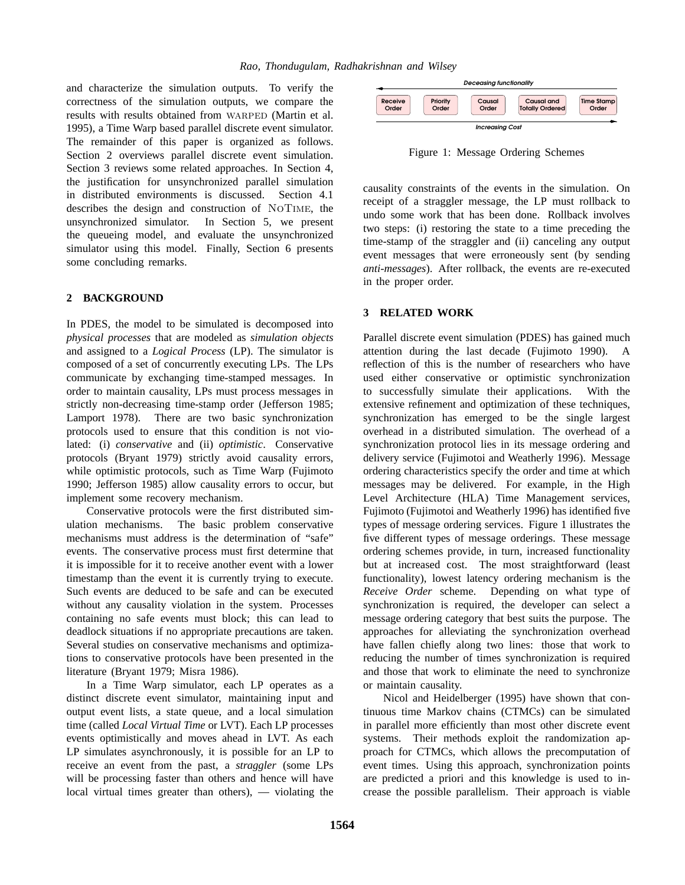and characterize the simulation outputs. To verify the correctness of the simulation outputs, we compare the results with results obtained from WARPED (Martin et al. 1995), a Time Warp based parallel discrete event simulator. The remainder of this paper is organized as follows. Section 2 overviews parallel discrete event simulation. Section 3 reviews some related approaches. In Section 4, the justification for unsynchronized parallel simulation in distributed environments is discussed. Section 4.1 describes the design and construction of NoTime, the unsynchronized simulator. In Section 5, we present the queueing model, and evaluate the unsynchronized simulator using this model. Finally, Section 6 presents some concluding remarks.

# **2 BACKGROUND**

In PDES, the model to be simulated is decomposed into *physical processes* that are modeled as *simulation objects* and assigned to a *Logical Process* (LP). The simulator is composed of a set of concurrently executing LPs. The LPs communicate by exchanging time-stamped messages. In order to maintain causality, LPs must process messages in strictly non-decreasing time-stamp order (Jefferson 1985; Lamport 1978). There are two basic synchronization protocols used to ensure that this condition is not violated: (i) *conservative* and (ii) *optimistic*. Conservative protocols (Bryant 1979) strictly avoid causality errors, while optimistic protocols, such as Time Warp (Fujimoto 1990; Jefferson 1985) allow causality errors to occur, but implement some recovery mechanism.

Conservative protocols were the first distributed simulation mechanisms. The basic problem conservative mechanisms must address is the determination of "safe" events. The conservative process must first determine that it is impossible for it to receive another event with a lower timestamp than the event it is currently trying to execute. Such events are deduced to be safe and can be executed without any causality violation in the system. Processes containing no safe events must block; this can lead to deadlock situations if no appropriate precautions are taken. Several studies on conservative mechanisms and optimizations to conservative protocols have been presented in the literature (Bryant 1979; Misra 1986).

In a Time Warp simulator, each LP operates as a distinct discrete event simulator, maintaining input and output event lists, a state queue, and a local simulation time (called *Local Virtual Time* or LVT). Each LP processes events optimistically and moves ahead in LVT. As each LP simulates asynchronously, it is possible for an LP to receive an event from the past, a *straggler* (some LPs will be processing faster than others and hence will have local virtual times greater than others), — violating the



Figure 1: Message Ordering Schemes

causality constraints of the events in the simulation. On receipt of a straggler message, the LP must rollback to undo some work that has been done. Rollback involves two steps: (i) restoring the state to a time preceding the time-stamp of the straggler and (ii) canceling any output event messages that were erroneously sent (by sending *anti-messages*). After rollback, the events are re-executed in the proper order.

#### **3 RELATED WORK**

Parallel discrete event simulation (PDES) has gained much attention during the last decade (Fujimoto 1990). A reflection of this is the number of researchers who have used either conservative or optimistic synchronization to successfully simulate their applications. With the extensive refinement and optimization of these techniques, synchronization has emerged to be the single largest overhead in a distributed simulation. The overhead of a synchronization protocol lies in its message ordering and delivery service (Fujimotoi and Weatherly 1996). Message ordering characteristics specify the order and time at which messages may be delivered. For example, in the High Level Architecture (HLA) Time Management services, Fujimoto (Fujimotoi and Weatherly 1996) has identified five types of message ordering services. Figure 1 illustrates the five different types of message orderings. These message ordering schemes provide, in turn, increased functionality but at increased cost. The most straightforward (least functionality), lowest latency ordering mechanism is the *Receive Order* scheme. Depending on what type of synchronization is required, the developer can select a message ordering category that best suits the purpose. The approaches for alleviating the synchronization overhead have fallen chiefly along two lines: those that work to reducing the number of times synchronization is required and those that work to eliminate the need to synchronize or maintain causality.

Nicol and Heidelberger (1995) have shown that continuous time Markov chains (CTMCs) can be simulated in parallel more efficiently than most other discrete event systems. Their methods exploit the randomization approach for CTMCs, which allows the precomputation of event times. Using this approach, synchronization points are predicted a priori and this knowledge is used to increase the possible parallelism. Their approach is viable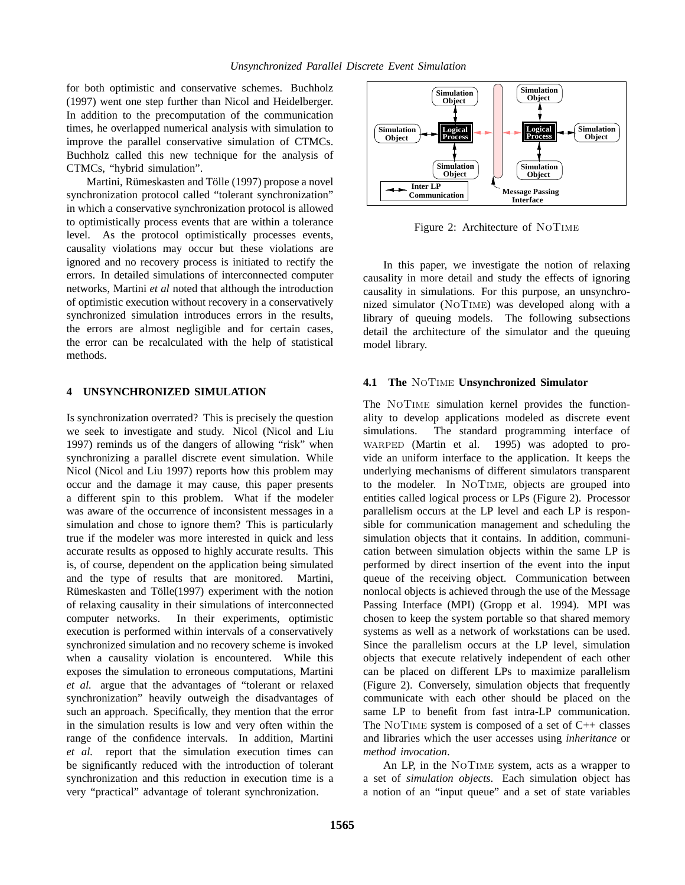for both optimistic and conservative schemes. Buchholz (1997) went one step further than Nicol and Heidelberger. In addition to the precomputation of the communication times, he overlapped numerical analysis with simulation to improve the parallel conservative simulation of CTMCs. Buchholz called this new technique for the analysis of CTMCs, "hybrid simulation".

Martini, Rümeskasten and Tölle (1997) propose a novel synchronization protocol called "tolerant synchronization" in which a conservative synchronization protocol is allowed to optimistically process events that are within a tolerance level. As the protocol optimistically processes events, causality violations may occur but these violations are ignored and no recovery process is initiated to rectify the errors. In detailed simulations of interconnected computer networks, Martini *et al* noted that although the introduction of optimistic execution without recovery in a conservatively synchronized simulation introduces errors in the results, the errors are almost negligible and for certain cases, the error can be recalculated with the help of statistical methods.

#### **4 UNSYNCHRONIZED SIMULATION**

Is synchronization overrated? This is precisely the question we seek to investigate and study. Nicol (Nicol and Liu 1997) reminds us of the dangers of allowing "risk" when synchronizing a parallel discrete event simulation. While Nicol (Nicol and Liu 1997) reports how this problem may occur and the damage it may cause, this paper presents a different spin to this problem. What if the modeler was aware of the occurrence of inconsistent messages in a simulation and chose to ignore them? This is particularly true if the modeler was more interested in quick and less accurate results as opposed to highly accurate results. This is, of course, dependent on the application being simulated and the type of results that are monitored. Martini, Rümeskasten and Tölle(1997) experiment with the notion of relaxing causality in their simulations of interconnected computer networks. In their experiments, optimistic execution is performed within intervals of a conservatively synchronized simulation and no recovery scheme is invoked when a causality violation is encountered. While this exposes the simulation to erroneous computations, Martini *et al.* argue that the advantages of "tolerant or relaxed synchronization" heavily outweigh the disadvantages of such an approach. Specifically, they mention that the error in the simulation results is low and very often within the range of the confidence intervals. In addition, Martini *et al.* report that the simulation execution times can be significantly reduced with the introduction of tolerant synchronization and this reduction in execution time is a very "practical" advantage of tolerant synchronization.



Figure 2: Architecture of NoTime

In this paper, we investigate the notion of relaxing causality in more detail and study the effects of ignoring causality in simulations. For this purpose, an unsynchronized simulator (NoTime) was developed along with a library of queuing models. The following subsections detail the architecture of the simulator and the queuing model library.

#### **4.1 The** NoTime **Unsynchronized Simulator**

The NoTime simulation kernel provides the functionality to develop applications modeled as discrete event simulations. The standard programming interface of WARPED (Martin et al. 1995) was adopted to provide an uniform interface to the application. It keeps the underlying mechanisms of different simulators transparent to the modeler. In NoTime, objects are grouped into entities called logical process or LPs (Figure 2). Processor parallelism occurs at the LP level and each LP is responsible for communication management and scheduling the simulation objects that it contains. In addition, communication between simulation objects within the same LP is performed by direct insertion of the event into the input queue of the receiving object. Communication between nonlocal objects is achieved through the use of the Message Passing Interface (MPI) (Gropp et al. 1994). MPI was chosen to keep the system portable so that shared memory systems as well as a network of workstations can be used. Since the parallelism occurs at the LP level, simulation objects that execute relatively independent of each other can be placed on different LPs to maximize parallelism (Figure 2). Conversely, simulation objects that frequently communicate with each other should be placed on the same LP to benefit from fast intra-LP communication. The NOTIME system is composed of a set of  $C++$  classes and libraries which the user accesses using *inheritance* or *method invocation*.

An LP, in the NoTime system, acts as a wrapper to a set of *simulation objects*. Each simulation object has a notion of an "input queue" and a set of state variables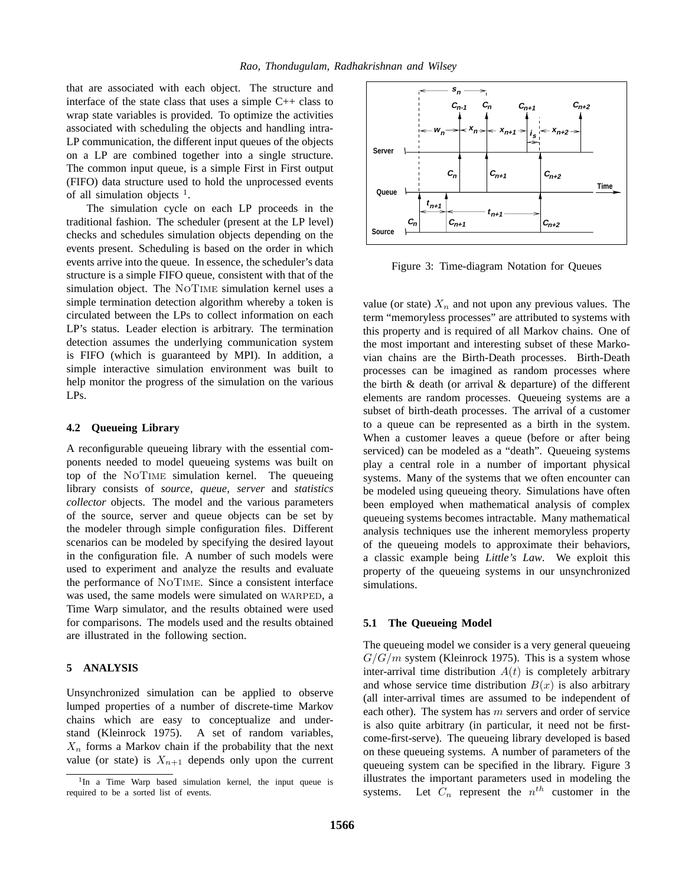that are associated with each object. The structure and interface of the state class that uses a simple C++ class to wrap state variables is provided. To optimize the activities associated with scheduling the objects and handling intra-LP communication, the different input queues of the objects on a LP are combined together into a single structure. The common input queue, is a simple First in First output (FIFO) data structure used to hold the unprocessed events of all simulation objects  $\frac{1}{1}$ .

The simulation cycle on each LP proceeds in the traditional fashion. The scheduler (present at the LP level) checks and schedules simulation objects depending on the events present. Scheduling is based on the order in which events arrive into the queue. In essence, the scheduler's data structure is a simple FIFO queue, consistent with that of the simulation object. The NoTime simulation kernel uses a simple termination detection algorithm whereby a token is circulated between the LPs to collect information on each LP's status. Leader election is arbitrary. The termination detection assumes the underlying communication system is FIFO (which is guaranteed by MPI). In addition, a simple interactive simulation environment was built to help monitor the progress of the simulation on the various LPs.

#### **4.2 Queueing Library**

A reconfigurable queueing library with the essential components needed to model queueing systems was built on top of the NoTime simulation kernel. The queueing library consists of *source*, *queue*, *server* and *statistics collector* objects. The model and the various parameters of the source, server and queue objects can be set by the modeler through simple configuration files. Different scenarios can be modeled by specifying the desired layout in the configuration file. A number of such models were used to experiment and analyze the results and evaluate the performance of NoTime. Since a consistent interface was used, the same models were simulated on WARPED, a Time Warp simulator, and the results obtained were used for comparisons. The models used and the results obtained are illustrated in the following section.

### **5 ANALYSIS**

Unsynchronized simulation can be applied to observe lumped properties of a number of discrete-time Markov chains which are easy to conceptualize and understand (Kleinrock 1975). A set of random variables,  $X_n$  forms a Markov chain if the probability that the next value (or state) is  $X_{n+1}$  depends only upon the current



Figure 3: Time-diagram Notation for Queues

value (or state)  $X_n$  and not upon any previous values. The term "memoryless processes" are attributed to systems with this property and is required of all Markov chains. One of the most important and interesting subset of these Markovian chains are the Birth-Death processes. Birth-Death processes can be imagined as random processes where the birth & death (or arrival & departure) of the different elements are random processes. Queueing systems are a subset of birth-death processes. The arrival of a customer to a queue can be represented as a birth in the system. When a customer leaves a queue (before or after being serviced) can be modeled as a "death". Queueing systems play a central role in a number of important physical systems. Many of the systems that we often encounter can be modeled using queueing theory. Simulations have often been employed when mathematical analysis of complex queueing systems becomes intractable. Many mathematical analysis techniques use the inherent memoryless property of the queueing models to approximate their behaviors, a classic example being *Little's Law*. We exploit this property of the queueing systems in our unsynchronized simulations.

### **5.1 The Queueing Model**

The queueing model we consider is a very general queueing  $G/G/m$  system (Kleinrock 1975). This is a system whose inter-arrival time distribution  $A(t)$  is completely arbitrary and whose service time distribution  $B(x)$  is also arbitrary (all inter-arrival times are assumed to be independent of each other). The system has  $m$  servers and order of service is also quite arbitrary (in particular, it need not be firstcome-first-serve). The queueing library developed is based on these queueing systems. A number of parameters of the queueing system can be specified in the library. Figure 3 illustrates the important parameters used in modeling the systems. Let  $C_n$  represent the  $n^{th}$  customer in the

<sup>&</sup>lt;sup>1</sup>In a Time Warp based simulation kernel, the input queue is required to be a sorted list of events.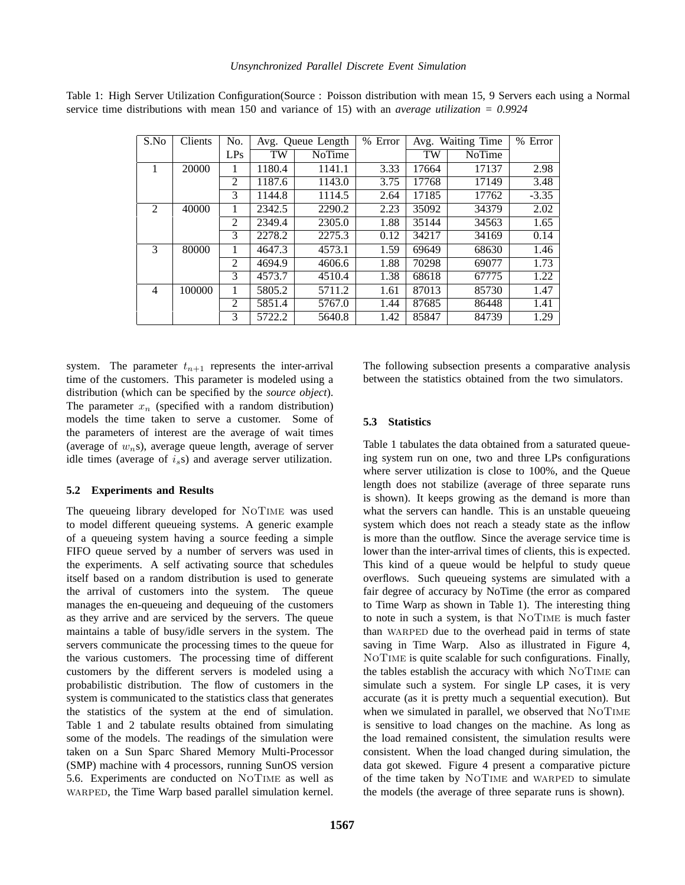| S.No | Clients | No.            | Avg. Queue Length |               | Error<br>% | Avg. Waiting Time |               | % Error |
|------|---------|----------------|-------------------|---------------|------------|-------------------|---------------|---------|
|      |         | LPs            | TW                | <b>NoTime</b> |            | TW                | <b>NoTime</b> |         |
| 1    | 20000   |                | 1180.4            | 1141.1        | 3.33       | 17664             | 17137         | 2.98    |
|      |         | 2              | 1187.6            | 1143.0        | 3.75       | 17768             | 17149         | 3.48    |
|      |         | 3              | 1144.8            | 1114.5        | 2.64       | 17185             | 17762         | $-3.35$ |
| 2    | 40000   |                | 2342.5            | 2290.2        | 2.23       | 35092             | 34379         | 2.02    |
|      |         | $\overline{2}$ | 2349.4            | 2305.0        | 1.88       | 35144             | 34563         | 1.65    |
|      |         | 3              | 2278.2            | 2275.3        | 0.12       | 34217             | 34169         | 0.14    |
| 3    | 80000   |                | 4647.3            | 4573.1        | 1.59       | 69649             | 68630         | 1.46    |
|      |         | $\overline{2}$ | 4694.9            | 4606.6        | 1.88       | 70298             | 69077         | 1.73    |
|      |         | 3              | 4573.7            | 4510.4        | 1.38       | 68618             | 67775         | 1.22    |
| 4    | 100000  |                | 5805.2            | 5711.2        | 1.61       | 87013             | 85730         | 1.47    |
|      |         | $\mathfrak{D}$ | 5851.4            | 5767.0        | 1.44       | 87685             | 86448         | 1.41    |
|      |         | 3              | 5722.2            | 5640.8        | 1.42       | 85847             | 84739         | 1.29    |

Table 1: High Server Utilization Configuration(Source : Poisson distribution with mean 15, 9 Servers each using a Normal service time distributions with mean 150 and variance of 15) with an *average utilization = 0.9924*

system. The parameter  $t_{n+1}$  represents the inter-arrival time of the customers. This parameter is modeled using a distribution (which can be specified by the *source object*). The parameter  $x_n$  (specified with a random distribution) models the time taken to serve a customer. Some of the parameters of interest are the average of wait times (average of  $w_n$ s), average queue length, average of server idle times (average of  $i_s$ s) and average server utilization.

# **5.2 Experiments and Results**

The queueing library developed for NoTime was used to model different queueing systems. A generic example of a queueing system having a source feeding a simple FIFO queue served by a number of servers was used in the experiments. A self activating source that schedules itself based on a random distribution is used to generate the arrival of customers into the system. The queue manages the en-queueing and dequeuing of the customers as they arrive and are serviced by the servers. The queue maintains a table of busy/idle servers in the system. The servers communicate the processing times to the queue for the various customers. The processing time of different customers by the different servers is modeled using a probabilistic distribution. The flow of customers in the system is communicated to the statistics class that generates the statistics of the system at the end of simulation. Table 1 and 2 tabulate results obtained from simulating some of the models. The readings of the simulation were taken on a Sun Sparc Shared Memory Multi-Processor (SMP) machine with 4 processors, running SunOS version 5.6. Experiments are conducted on NoTime as well as warped, the Time Warp based parallel simulation kernel.

The following subsection presents a comparative analysis between the statistics obtained from the two simulators.

# **5.3 Statistics**

Table 1 tabulates the data obtained from a saturated queueing system run on one, two and three LPs configurations where server utilization is close to 100%, and the Queue length does not stabilize (average of three separate runs is shown). It keeps growing as the demand is more than what the servers can handle. This is an unstable queueing system which does not reach a steady state as the inflow is more than the outflow. Since the average service time is lower than the inter-arrival times of clients, this is expected. This kind of a queue would be helpful to study queue overflows. Such queueing systems are simulated with a fair degree of accuracy by NoTime (the error as compared to Time Warp as shown in Table 1). The interesting thing to note in such a system, is that NoTime is much faster than WARPED due to the overhead paid in terms of state saving in Time Warp. Also as illustrated in Figure 4, NoTime is quite scalable for such configurations. Finally, the tables establish the accuracy with which NoTime can simulate such a system. For single LP cases, it is very accurate (as it is pretty much a sequential execution). But when we simulated in parallel, we observed that NoTime is sensitive to load changes on the machine. As long as the load remained consistent, the simulation results were consistent. When the load changed during simulation, the data got skewed. Figure 4 present a comparative picture of the time taken by NOTIME and WARPED to simulate the models (the average of three separate runs is shown).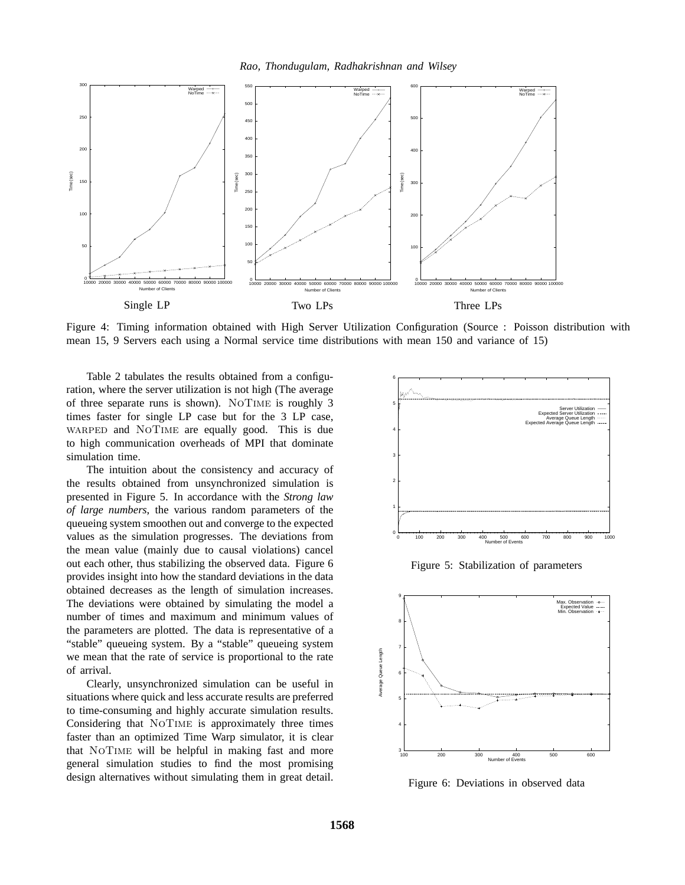

Figure 4: Timing information obtained with High Server Utilization Configuration (Source : Poisson distribution with mean 15, 9 Servers each using a Normal service time distributions with mean 150 and variance of 15)

Table 2 tabulates the results obtained from a configuration, where the server utilization is not high (The average of three separate runs is shown). NoTime is roughly 3 times faster for single LP case but for the 3 LP case, WARPED and NOTIME are equally good. This is due to high communication overheads of MPI that dominate simulation time.

The intuition about the consistency and accuracy of the results obtained from unsynchronized simulation is presented in Figure 5. In accordance with the *Strong law of large numbers*, the various random parameters of the queueing system smoothen out and converge to the expected values as the simulation progresses. The deviations from the mean value (mainly due to causal violations) cancel out each other, thus stabilizing the observed data. Figure 6 provides insight into how the standard deviations in the data obtained decreases as the length of simulation increases. The deviations were obtained by simulating the model a number of times and maximum and minimum values of the parameters are plotted. The data is representative of a "stable" queueing system. By a "stable" queueing system we mean that the rate of service is proportional to the rate of arrival.

Clearly, unsynchronized simulation can be useful in situations where quick and less accurate results are preferred to time-consuming and highly accurate simulation results. Considering that NoTime is approximately three times faster than an optimized Time Warp simulator, it is clear that NoTime will be helpful in making fast and more general simulation studies to find the most promising design alternatives without simulating them in great detail.



Figure 5: Stabilization of parameters



Figure 6: Deviations in observed data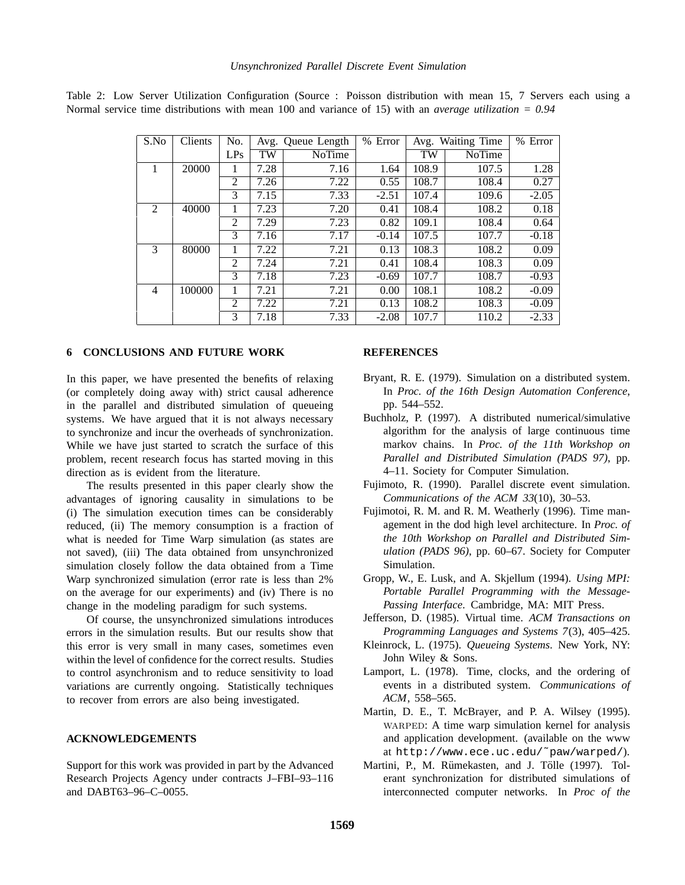| S.No | Clients | No. |      | Avg. Oueue Length | % Error | Avg. Waiting Time |        | % Error |
|------|---------|-----|------|-------------------|---------|-------------------|--------|---------|
|      |         | LPs | TW   | NoTime            |         | TW                | NoTime |         |
| I.   | 20000   |     | 7.28 | 7.16              | 1.64    | 108.9             | 107.5  | 1.28    |
|      |         | 2   | 7.26 | 7.22              | 0.55    | 108.7             | 108.4  | 0.27    |
|      |         | 3   | 7.15 | 7.33              | $-2.51$ | 107.4             | 109.6  | $-2.05$ |
| 2    | 40000   | 1   | 7.23 | 7.20              | 0.41    | 108.4             | 108.2  | 0.18    |
|      |         | 2   | 7.29 | 7.23              | 0.82    | 109.1             | 108.4  | 0.64    |
|      |         | 3   | 7.16 | 7.17              | $-0.14$ | 107.5             | 107.7  | $-0.18$ |
| 3    | 80000   |     | 7.22 | 7.21              | 0.13    | 108.3             | 108.2  | 0.09    |
|      |         | 2   | 7.24 | 7.21              | 0.41    | 108.4             | 108.3  | 0.09    |
|      |         | 3   | 7.18 | 7.23              | $-0.69$ | 107.7             | 108.7  | $-0.93$ |
| 4    | 100000  |     | 7.21 | 7.21              | 0.00    | 108.1             | 108.2  | $-0.09$ |
|      |         | 2   | 7.22 | 7.21              | 0.13    | 108.2             | 108.3  | $-0.09$ |
|      |         | 3   | 7.18 | 7.33              | $-2.08$ | 107.7             | 110.2  | $-2.33$ |

Table 2: Low Server Utilization Configuration (Source : Poisson distribution with mean 15, 7 Servers each using a Normal service time distributions with mean 100 and variance of 15) with an *average utilization = 0.94*

#### **6 CONCLUSIONS AND FUTURE WORK**

In this paper, we have presented the benefits of relaxing (or completely doing away with) strict causal adherence in the parallel and distributed simulation of queueing systems. We have argued that it is not always necessary to synchronize and incur the overheads of synchronization. While we have just started to scratch the surface of this problem, recent research focus has started moving in this direction as is evident from the literature.

The results presented in this paper clearly show the advantages of ignoring causality in simulations to be (i) The simulation execution times can be considerably reduced, (ii) The memory consumption is a fraction of what is needed for Time Warp simulation (as states are not saved), (iii) The data obtained from unsynchronized simulation closely follow the data obtained from a Time Warp synchronized simulation (error rate is less than 2% on the average for our experiments) and (iv) There is no change in the modeling paradigm for such systems.

Of course, the unsynchronized simulations introduces errors in the simulation results. But our results show that this error is very small in many cases, sometimes even within the level of confidence for the correct results. Studies to control asynchronism and to reduce sensitivity to load variations are currently ongoing. Statistically techniques to recover from errors are also being investigated.

# **ACKNOWLEDGEMENTS**

Support for this work was provided in part by the Advanced Research Projects Agency under contracts J–FBI–93–116 and DABT63–96–C–0055.

#### **REFERENCES**

- Bryant, R. E. (1979). Simulation on a distributed system. In *Proc. of the 16th Design Automation Conference*, pp. 544–552.
- Buchholz, P. (1997). A distributed numerical/simulative algorithm for the analysis of large continuous time markov chains. In *Proc. of the 11th Workshop on Parallel and Distributed Simulation (PADS 97)*, pp. 4–11. Society for Computer Simulation.
- Fujimoto, R. (1990). Parallel discrete event simulation. *Communications of the ACM 33*(10), 30–53.
- Fujimotoi, R. M. and R. M. Weatherly (1996). Time management in the dod high level architecture. In *Proc. of the 10th Workshop on Parallel and Distributed Simulation (PADS 96)*, pp. 60–67. Society for Computer Simulation.
- Gropp, W., E. Lusk, and A. Skjellum (1994). *Using MPI: Portable Parallel Programming with the Message-Passing Interface*. Cambridge, MA: MIT Press.
- Jefferson, D. (1985). Virtual time. *ACM Transactions on Programming Languages and Systems 7*(3), 405–425.
- Kleinrock, L. (1975). *Queueing Systems*. New York, NY: John Wiley & Sons.
- Lamport, L. (1978). Time, clocks, and the ordering of events in a distributed system. *Communications of ACM*, 558–565.
- Martin, D. E., T. McBrayer, and P. A. Wilsey (1995). WARPED: A time warp simulation kernel for analysis and application development. (available on the www at http://www.ece.uc.edu/˜paw/warped/).
- Martini, P., M. Rümekasten, and J. Tölle (1997). Tolerant synchronization for distributed simulations of interconnected computer networks. In *Proc of the*